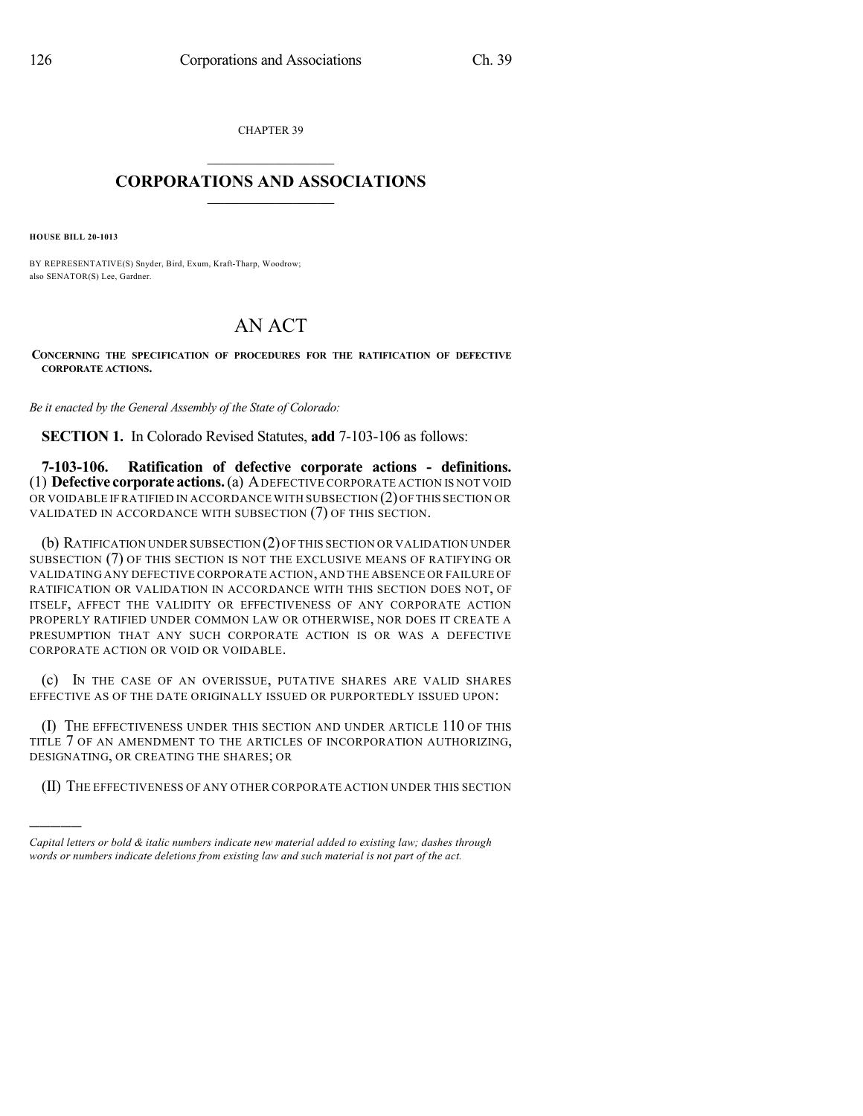CHAPTER 39

## $\mathcal{L}_\text{max}$  . The set of the set of the set of the set of the set of the set of the set of the set of the set of the set of the set of the set of the set of the set of the set of the set of the set of the set of the set **CORPORATIONS AND ASSOCIATIONS**  $\_$   $\_$   $\_$   $\_$   $\_$   $\_$   $\_$   $\_$   $\_$

**HOUSE BILL 20-1013**

)))))

BY REPRESENTATIVE(S) Snyder, Bird, Exum, Kraft-Tharp, Woodrow; also SENATOR(S) Lee, Gardner.

## AN ACT

**CONCERNING THE SPECIFICATION OF PROCEDURES FOR THE RATIFICATION OF DEFECTIVE CORPORATE ACTIONS.**

*Be it enacted by the General Assembly of the State of Colorado:*

**SECTION 1.** In Colorado Revised Statutes, **add** 7-103-106 as follows:

**7-103-106. Ratification of defective corporate actions - definitions.** (1) **Defective corporate actions.**(a) ADEFECTIVE CORPORATE ACTION IS NOT VOID OR VOIDABLE IF RATIFIED IN ACCORDANCE WITH SUBSECTION (2) OF THIS SECTION OR VALIDATED IN ACCORDANCE WITH SUBSECTION (7) OF THIS SECTION.

(b) RATIFICATION UNDER SUBSECTION (2)OFTHIS SECTION OR VALIDATION UNDER SUBSECTION (7) OF THIS SECTION IS NOT THE EXCLUSIVE MEANS OF RATIFYING OR VALIDATING ANY DEFECTIVE CORPORATE ACTION, AND THE ABSENCE OR FAILURE OF RATIFICATION OR VALIDATION IN ACCORDANCE WITH THIS SECTION DOES NOT, OF ITSELF, AFFECT THE VALIDITY OR EFFECTIVENESS OF ANY CORPORATE ACTION PROPERLY RATIFIED UNDER COMMON LAW OR OTHERWISE, NOR DOES IT CREATE A PRESUMPTION THAT ANY SUCH CORPORATE ACTION IS OR WAS A DEFECTIVE CORPORATE ACTION OR VOID OR VOIDABLE.

(c) IN THE CASE OF AN OVERISSUE, PUTATIVE SHARES ARE VALID SHARES EFFECTIVE AS OF THE DATE ORIGINALLY ISSUED OR PURPORTEDLY ISSUED UPON:

(I) THE EFFECTIVENESS UNDER THIS SECTION AND UNDER ARTICLE 110 OF THIS TITLE 7 OF AN AMENDMENT TO THE ARTICLES OF INCORPORATION AUTHORIZING, DESIGNATING, OR CREATING THE SHARES; OR

(II) THE EFFECTIVENESS OF ANY OTHER CORPORATE ACTION UNDER THIS SECTION

*Capital letters or bold & italic numbers indicate new material added to existing law; dashes through words or numbers indicate deletions from existing law and such material is not part of the act.*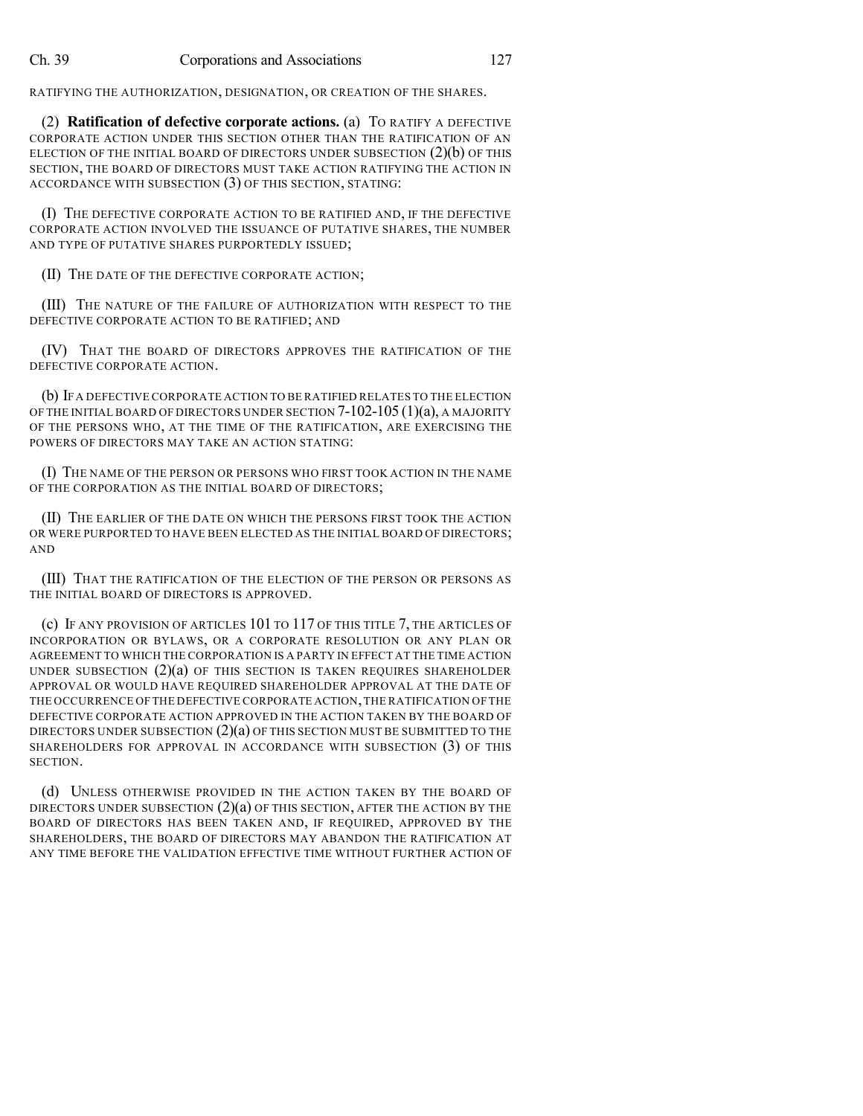RATIFYING THE AUTHORIZATION, DESIGNATION, OR CREATION OF THE SHARES.

(2) **Ratification of defective corporate actions.** (a) TO RATIFY A DEFECTIVE CORPORATE ACTION UNDER THIS SECTION OTHER THAN THE RATIFICATION OF AN ELECTION OF THE INITIAL BOARD OF DIRECTORS UNDER SUBSECTION (2)(b) OF THIS SECTION, THE BOARD OF DIRECTORS MUST TAKE ACTION RATIFYING THE ACTION IN ACCORDANCE WITH SUBSECTION (3) OF THIS SECTION, STATING:

(I) THE DEFECTIVE CORPORATE ACTION TO BE RATIFIED AND, IF THE DEFECTIVE CORPORATE ACTION INVOLVED THE ISSUANCE OF PUTATIVE SHARES, THE NUMBER AND TYPE OF PUTATIVE SHARES PURPORTEDLY ISSUED;

(II) THE DATE OF THE DEFECTIVE CORPORATE ACTION;

(III) THE NATURE OF THE FAILURE OF AUTHORIZATION WITH RESPECT TO THE DEFECTIVE CORPORATE ACTION TO BE RATIFIED; AND

(IV) THAT THE BOARD OF DIRECTORS APPROVES THE RATIFICATION OF THE DEFECTIVE CORPORATE ACTION.

(b) IF A DEFECTIVE CORPORATE ACTION TO BE RATIFIED RELATES TO THE ELECTION OF THE INITIAL BOARD OF DIRECTORS UNDER SECTION 7-102-105 (1)(a), A MAJORITY OF THE PERSONS WHO, AT THE TIME OF THE RATIFICATION, ARE EXERCISING THE POWERS OF DIRECTORS MAY TAKE AN ACTION STATING:

(I) THE NAME OF THE PERSON OR PERSONS WHO FIRST TOOK ACTION IN THE NAME OF THE CORPORATION AS THE INITIAL BOARD OF DIRECTORS;

(II) THE EARLIER OF THE DATE ON WHICH THE PERSONS FIRST TOOK THE ACTION OR WERE PURPORTED TO HAVE BEEN ELECTED AS THE INITIAL BOARD OF DIRECTORS; AND

(III) THAT THE RATIFICATION OF THE ELECTION OF THE PERSON OR PERSONS AS THE INITIAL BOARD OF DIRECTORS IS APPROVED.

(c) IF ANY PROVISION OF ARTICLES 101 TO 117 OF THIS TITLE 7, THE ARTICLES OF INCORPORATION OR BYLAWS, OR A CORPORATE RESOLUTION OR ANY PLAN OR AGREEMENT TO WHICH THE CORPORATION IS A PARTY IN EFFECT AT THE TIME ACTION UNDER SUBSECTION  $(2)(a)$  OF THIS SECTION IS TAKEN REQUIRES SHAREHOLDER APPROVAL OR WOULD HAVE REQUIRED SHAREHOLDER APPROVAL AT THE DATE OF THE OCCURRENCE OF THE DEFECTIVE CORPORATE ACTION,THE RATIFICATION OF THE DEFECTIVE CORPORATE ACTION APPROVED IN THE ACTION TAKEN BY THE BOARD OF DIRECTORS UNDER SUBSECTION  $(2)(a)$  of this section must be submitted to the SHAREHOLDERS FOR APPROVAL IN ACCORDANCE WITH SUBSECTION (3) OF THIS SECTION.

(d) UNLESS OTHERWISE PROVIDED IN THE ACTION TAKEN BY THE BOARD OF DIRECTORS UNDER SUBSECTION  $(2)(a)$  OF THIS SECTION, AFTER THE ACTION BY THE BOARD OF DIRECTORS HAS BEEN TAKEN AND, IF REQUIRED, APPROVED BY THE SHAREHOLDERS, THE BOARD OF DIRECTORS MAY ABANDON THE RATIFICATION AT ANY TIME BEFORE THE VALIDATION EFFECTIVE TIME WITHOUT FURTHER ACTION OF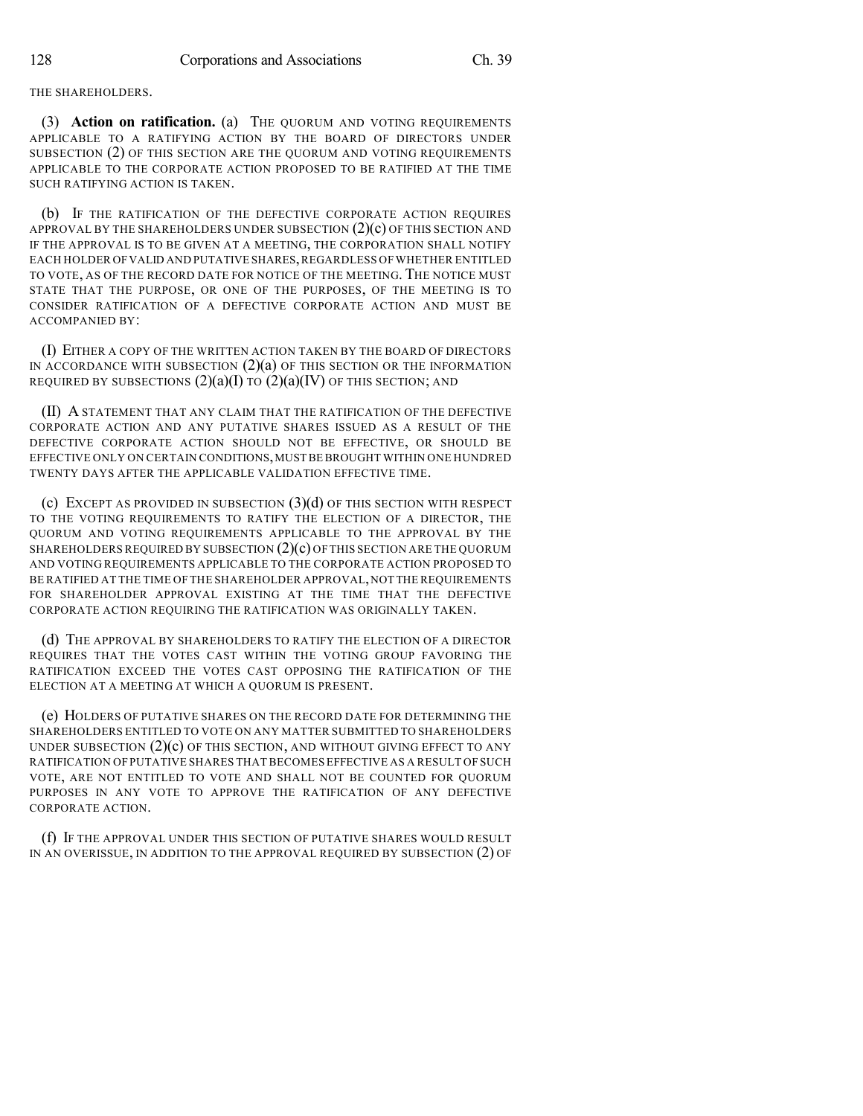## THE SHAREHOLDERS.

(3) **Action on ratification.** (a) THE QUORUM AND VOTING REQUIREMENTS APPLICABLE TO A RATIFYING ACTION BY THE BOARD OF DIRECTORS UNDER SUBSECTION (2) OF THIS SECTION ARE THE QUORUM AND VOTING REQUIREMENTS APPLICABLE TO THE CORPORATE ACTION PROPOSED TO BE RATIFIED AT THE TIME SUCH RATIFYING ACTION IS TAKEN.

(b) IF THE RATIFICATION OF THE DEFECTIVE CORPORATE ACTION REQUIRES APPROVAL BY THE SHAREHOLDERS UNDER SUBSECTION  $(2)(c)$  OF THIS SECTION AND IF THE APPROVAL IS TO BE GIVEN AT A MEETING, THE CORPORATION SHALL NOTIFY EACH HOLDER OF VALID AND PUTATIVE SHARES, REGARDLESS OF WHETHER ENTITLED TO VOTE, AS OF THE RECORD DATE FOR NOTICE OF THE MEETING. THE NOTICE MUST STATE THAT THE PURPOSE, OR ONE OF THE PURPOSES, OF THE MEETING IS TO CONSIDER RATIFICATION OF A DEFECTIVE CORPORATE ACTION AND MUST BE ACCOMPANIED BY:

(I) EITHER A COPY OF THE WRITTEN ACTION TAKEN BY THE BOARD OF DIRECTORS IN ACCORDANCE WITH SUBSECTION  $(2)(a)$  of this section or the INFORMATION REQUIRED BY SUBSECTIONS  $(2)(a)(I)$  to  $(2)(a)(IV)$  of this section; and

(II) A STATEMENT THAT ANY CLAIM THAT THE RATIFICATION OF THE DEFECTIVE CORPORATE ACTION AND ANY PUTATIVE SHARES ISSUED AS A RESULT OF THE DEFECTIVE CORPORATE ACTION SHOULD NOT BE EFFECTIVE, OR SHOULD BE EFFECTIVE ONLY ON CERTAIN CONDITIONS,MUST BE BROUGHT WITHIN ONE HUNDRED TWENTY DAYS AFTER THE APPLICABLE VALIDATION EFFECTIVE TIME.

(c) EXCEPT AS PROVIDED IN SUBSECTION (3)(d) OF THIS SECTION WITH RESPECT TO THE VOTING REQUIREMENTS TO RATIFY THE ELECTION OF A DIRECTOR, THE QUORUM AND VOTING REQUIREMENTS APPLICABLE TO THE APPROVAL BY THE SHAREHOLDERS REQUIRED BY SUBSECTION (2)(c) OF THIS SECTION ARE THE QUORUM AND VOTING REQUIREMENTS APPLICABLE TO THE CORPORATE ACTION PROPOSED TO BE RATIFIED AT THE TIME OF THE SHAREHOLDER APPROVAL,NOT THE REQUIREMENTS FOR SHAREHOLDER APPROVAL EXISTING AT THE TIME THAT THE DEFECTIVE CORPORATE ACTION REQUIRING THE RATIFICATION WAS ORIGINALLY TAKEN.

(d) THE APPROVAL BY SHAREHOLDERS TO RATIFY THE ELECTION OF A DIRECTOR REQUIRES THAT THE VOTES CAST WITHIN THE VOTING GROUP FAVORING THE RATIFICATION EXCEED THE VOTES CAST OPPOSING THE RATIFICATION OF THE ELECTION AT A MEETING AT WHICH A QUORUM IS PRESENT.

(e) HOLDERS OF PUTATIVE SHARES ON THE RECORD DATE FOR DETERMINING THE SHAREHOLDERS ENTITLED TO VOTE ON ANY MATTER SUBMITTED TO SHAREHOLDERS UNDER SUBSECTION  $(2)(c)$  OF THIS SECTION, AND WITHOUT GIVING EFFECT TO ANY RATIFICATION OF PUTATIVE SHARES THAT BECOMES EFFECTIVE AS A RESULT OF SUCH VOTE, ARE NOT ENTITLED TO VOTE AND SHALL NOT BE COUNTED FOR QUORUM PURPOSES IN ANY VOTE TO APPROVE THE RATIFICATION OF ANY DEFECTIVE CORPORATE ACTION.

(f) IF THE APPROVAL UNDER THIS SECTION OF PUTATIVE SHARES WOULD RESULT IN AN OVERISSUE, IN ADDITION TO THE APPROVAL REQUIRED BY SUBSECTION (2) OF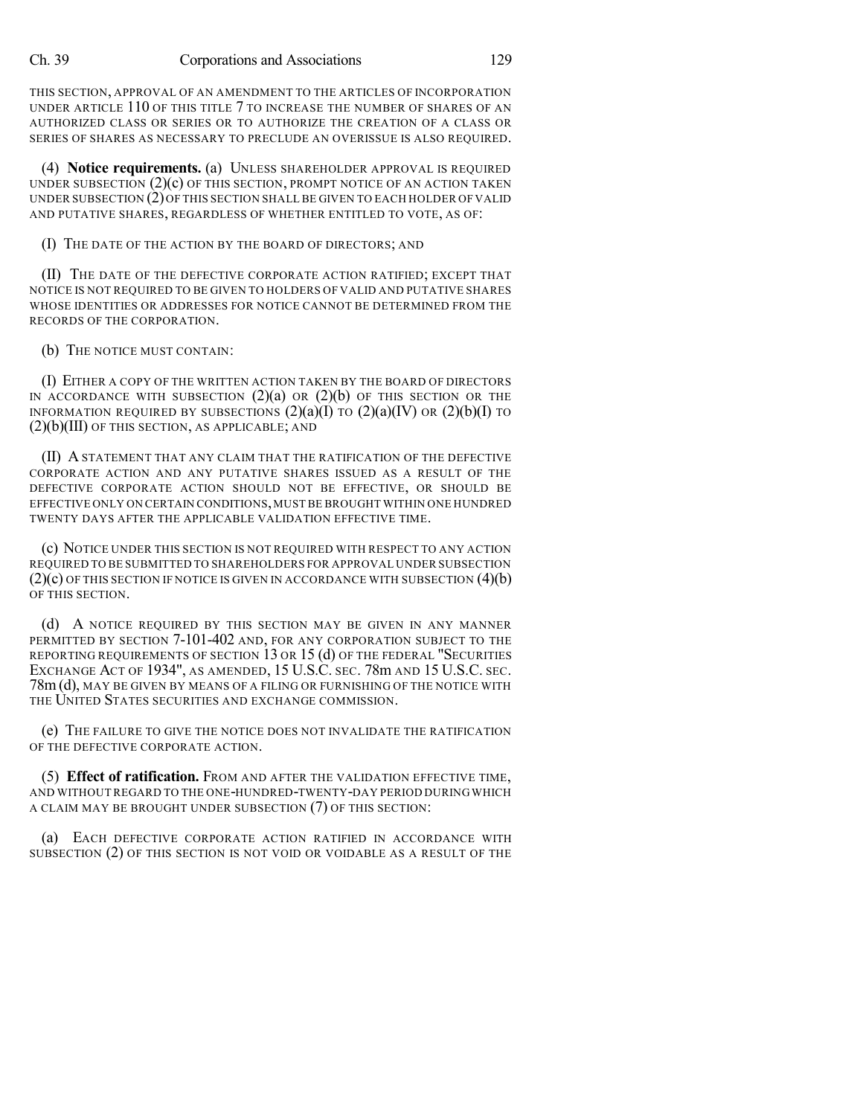THIS SECTION, APPROVAL OF AN AMENDMENT TO THE ARTICLES OF INCORPORATION UNDER ARTICLE 110 OF THIS TITLE 7 TO INCREASE THE NUMBER OF SHARES OF AN AUTHORIZED CLASS OR SERIES OR TO AUTHORIZE THE CREATION OF A CLASS OR SERIES OF SHARES AS NECESSARY TO PRECLUDE AN OVERISSUE IS ALSO REQUIRED.

(4) **Notice requirements.** (a) UNLESS SHAREHOLDER APPROVAL IS REQUIRED UNDER SUBSECTION  $(2)(c)$  OF THIS SECTION, PROMPT NOTICE OF AN ACTION TAKEN UNDER SUBSECTION (2)OF THIS SECTION SHALL BE GIVEN TO EACH HOLDER OF VALID AND PUTATIVE SHARES, REGARDLESS OF WHETHER ENTITLED TO VOTE, AS OF:

(I) THE DATE OF THE ACTION BY THE BOARD OF DIRECTORS; AND

(II) THE DATE OF THE DEFECTIVE CORPORATE ACTION RATIFIED; EXCEPT THAT NOTICE IS NOT REQUIRED TO BE GIVEN TO HOLDERS OF VALID AND PUTATIVE SHARES WHOSE IDENTITIES OR ADDRESSES FOR NOTICE CANNOT BE DETERMINED FROM THE RECORDS OF THE CORPORATION.

(b) THE NOTICE MUST CONTAIN:

(I) EITHER A COPY OF THE WRITTEN ACTION TAKEN BY THE BOARD OF DIRECTORS IN ACCORDANCE WITH SUBSECTION  $(2)(a)$  OR  $(2)(b)$  OF THIS SECTION OR THE INFORMATION REQUIRED BY SUBSECTIONS  $(2)(a)(I)$  TO  $(2)(a)(IV)$  OR  $(2)(b)(I)$  TO (2)(b)(III) OF THIS SECTION, AS APPLICABLE; AND

(II) A STATEMENT THAT ANY CLAIM THAT THE RATIFICATION OF THE DEFECTIVE CORPORATE ACTION AND ANY PUTATIVE SHARES ISSUED AS A RESULT OF THE DEFECTIVE CORPORATE ACTION SHOULD NOT BE EFFECTIVE, OR SHOULD BE EFFECTIVE ONLY ON CERTAIN CONDITIONS,MUST BE BROUGHT WITHIN ONE HUNDRED TWENTY DAYS AFTER THE APPLICABLE VALIDATION EFFECTIVE TIME.

(c) NOTICE UNDER THIS SECTION IS NOT REQUIRED WITH RESPECT TO ANY ACTION REQUIRED TO BE SUBMITTED TO SHAREHOLDERS FOR APPROVAL UNDER SUBSECTION  $(2)(c)$  OF THIS SECTION IF NOTICE IS GIVEN IN ACCORDANCE WITH SUBSECTION  $(4)(b)$ OF THIS SECTION.

(d) A NOTICE REQUIRED BY THIS SECTION MAY BE GIVEN IN ANY MANNER PERMITTED BY SECTION 7-101-402 AND, FOR ANY CORPORATION SUBJECT TO THE REPORTING REQUIREMENTS OF SECTION 13 OR 15 (d) OF THE FEDERAL "SECURITIES EXCHANGE ACT OF 1934", AS AMENDED, 15 U.S.C. SEC. 78m AND 15 U.S.C. SEC. 78m (d), MAY BE GIVEN BY MEANS OF A FILING OR FURNISHING OF THE NOTICE WITH THE UNITED STATES SECURITIES AND EXCHANGE COMMISSION.

(e) THE FAILURE TO GIVE THE NOTICE DOES NOT INVALIDATE THE RATIFICATION OF THE DEFECTIVE CORPORATE ACTION.

(5) **Effect of ratification.** FROM AND AFTER THE VALIDATION EFFECTIVE TIME, AND WITHOUT REGARD TO THE ONE-HUNDRED-TWENTY-DAY PERIOD DURING WHICH A CLAIM MAY BE BROUGHT UNDER SUBSECTION (7) OF THIS SECTION:

(a) EACH DEFECTIVE CORPORATE ACTION RATIFIED IN ACCORDANCE WITH SUBSECTION (2) OF THIS SECTION IS NOT VOID OR VOIDABLE AS A RESULT OF THE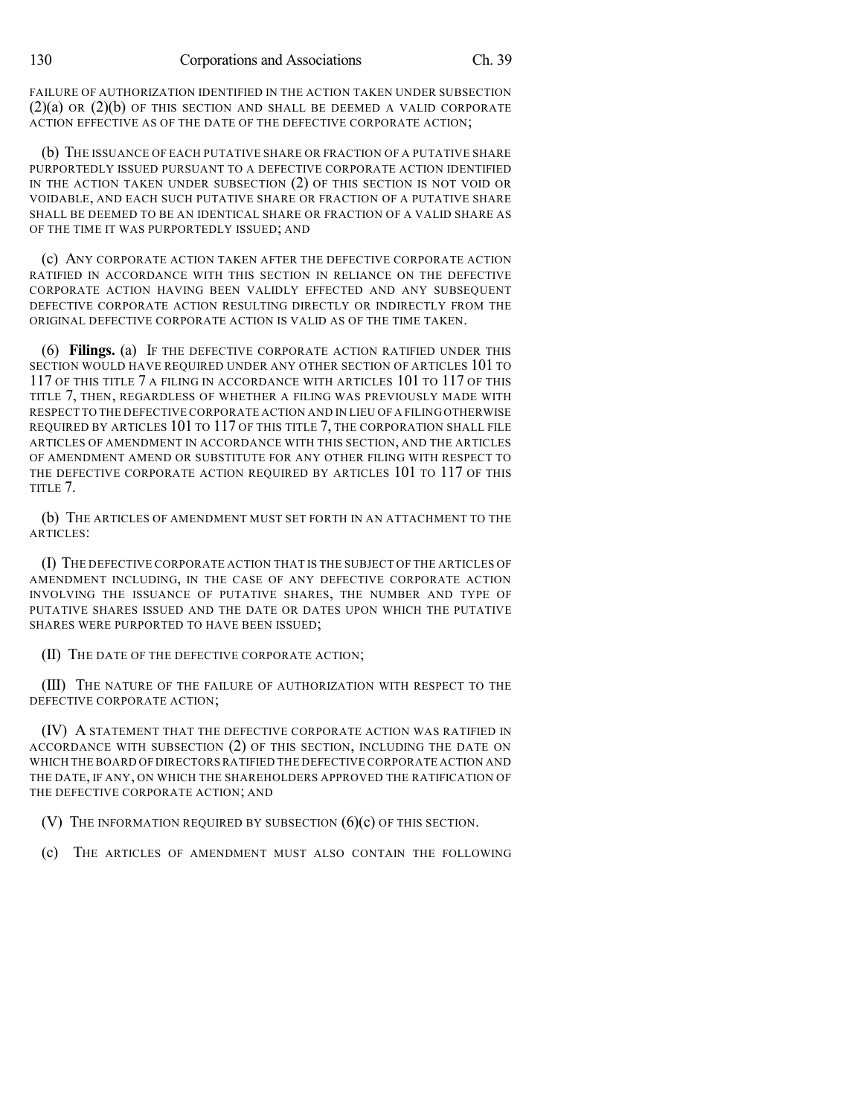FAILURE OF AUTHORIZATION IDENTIFIED IN THE ACTION TAKEN UNDER SUBSECTION  $(2)(a)$  OR  $(2)(b)$  OF THIS SECTION AND SHALL BE DEEMED A VALID CORPORATE ACTION EFFECTIVE AS OF THE DATE OF THE DEFECTIVE CORPORATE ACTION;

(b) THE ISSUANCE OF EACH PUTATIVE SHARE OR FRACTION OF A PUTATIVE SHARE PURPORTEDLY ISSUED PURSUANT TO A DEFECTIVE CORPORATE ACTION IDENTIFIED IN THE ACTION TAKEN UNDER SUBSECTION (2) OF THIS SECTION IS NOT VOID OR VOIDABLE, AND EACH SUCH PUTATIVE SHARE OR FRACTION OF A PUTATIVE SHARE SHALL BE DEEMED TO BE AN IDENTICAL SHARE OR FRACTION OF A VALID SHARE AS OF THE TIME IT WAS PURPORTEDLY ISSUED; AND

(c) ANY CORPORATE ACTION TAKEN AFTER THE DEFECTIVE CORPORATE ACTION RATIFIED IN ACCORDANCE WITH THIS SECTION IN RELIANCE ON THE DEFECTIVE CORPORATE ACTION HAVING BEEN VALIDLY EFFECTED AND ANY SUBSEQUENT DEFECTIVE CORPORATE ACTION RESULTING DIRECTLY OR INDIRECTLY FROM THE ORIGINAL DEFECTIVE CORPORATE ACTION IS VALID AS OF THE TIME TAKEN.

(6) **Filings.** (a) IF THE DEFECTIVE CORPORATE ACTION RATIFIED UNDER THIS SECTION WOULD HAVE REQUIRED UNDER ANY OTHER SECTION OF ARTICLES 101 TO 117 OF THIS TITLE 7 A FILING IN ACCORDANCE WITH ARTICLES 101 TO 117 OF THIS TITLE 7, THEN, REGARDLESS OF WHETHER A FILING WAS PREVIOUSLY MADE WITH RESPECT TO THE DEFECTIVE CORPORATE ACTION AND IN LIEU OF A FILING OTHERWISE REQUIRED BY ARTICLES 101 TO 117 OF THIS TITLE 7, THE CORPORATION SHALL FILE ARTICLES OF AMENDMENT IN ACCORDANCE WITH THIS SECTION, AND THE ARTICLES OF AMENDMENT AMEND OR SUBSTITUTE FOR ANY OTHER FILING WITH RESPECT TO THE DEFECTIVE CORPORATE ACTION REQUIRED BY ARTICLES 101 TO 117 OF THIS TITLE 7.

(b) THE ARTICLES OF AMENDMENT MUST SET FORTH IN AN ATTACHMENT TO THE ARTICLES:

(I) THE DEFECTIVE CORPORATE ACTION THAT IS THE SUBJECT OF THE ARTICLES OF AMENDMENT INCLUDING, IN THE CASE OF ANY DEFECTIVE CORPORATE ACTION INVOLVING THE ISSUANCE OF PUTATIVE SHARES, THE NUMBER AND TYPE OF PUTATIVE SHARES ISSUED AND THE DATE OR DATES UPON WHICH THE PUTATIVE SHARES WERE PURPORTED TO HAVE BEEN ISSUED;

(II) THE DATE OF THE DEFECTIVE CORPORATE ACTION;

(III) THE NATURE OF THE FAILURE OF AUTHORIZATION WITH RESPECT TO THE DEFECTIVE CORPORATE ACTION;

(IV) A STATEMENT THAT THE DEFECTIVE CORPORATE ACTION WAS RATIFIED IN ACCORDANCE WITH SUBSECTION (2) OF THIS SECTION, INCLUDING THE DATE ON WHICH THE BOARD OF DIRECTORSRATIFIED THE DEFECTIVE CORPORATE ACTION AND THE DATE, IF ANY, ON WHICH THE SHAREHOLDERS APPROVED THE RATIFICATION OF THE DEFECTIVE CORPORATE ACTION; AND

(V) THE INFORMATION REQUIRED BY SUBSECTION  $(6)(c)$  of this section.

(c) THE ARTICLES OF AMENDMENT MUST ALSO CONTAIN THE FOLLOWING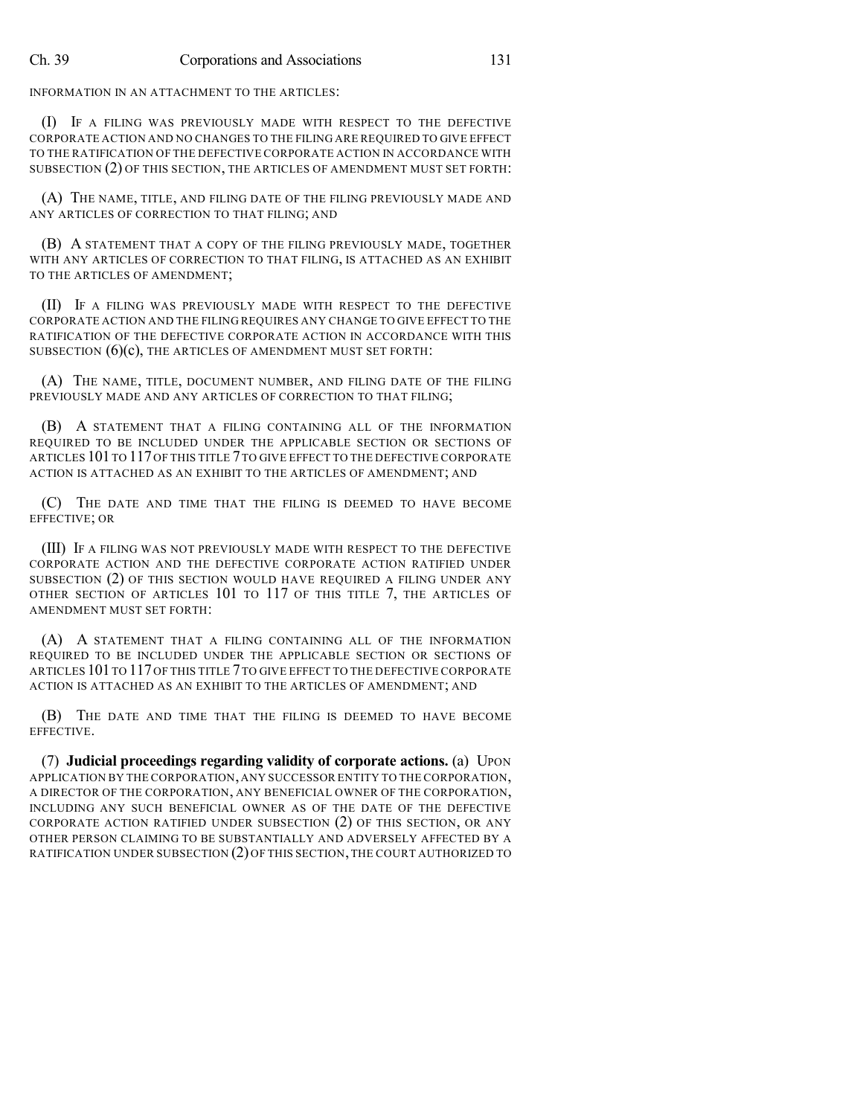INFORMATION IN AN ATTACHMENT TO THE ARTICLES:

(I) IF A FILING WAS PREVIOUSLY MADE WITH RESPECT TO THE DEFECTIVE CORPORATE ACTION AND NO CHANGES TO THE FILING ARE REQUIRED TO GIVE EFFECT TO THE RATIFICATION OF THE DEFECTIVE CORPORATE ACTION IN ACCORDANCE WITH SUBSECTION (2) OF THIS SECTION, THE ARTICLES OF AMENDMENT MUST SET FORTH:

(A) THE NAME, TITLE, AND FILING DATE OF THE FILING PREVIOUSLY MADE AND ANY ARTICLES OF CORRECTION TO THAT FILING; AND

(B) A STATEMENT THAT A COPY OF THE FILING PREVIOUSLY MADE, TOGETHER WITH ANY ARTICLES OF CORRECTION TO THAT FILING, IS ATTACHED AS AN EXHIBIT TO THE ARTICLES OF AMENDMENT;

(II) IF A FILING WAS PREVIOUSLY MADE WITH RESPECT TO THE DEFECTIVE CORPORATE ACTION AND THE FILING REQUIRES ANY CHANGE TO GIVE EFFECT TO THE RATIFICATION OF THE DEFECTIVE CORPORATE ACTION IN ACCORDANCE WITH THIS SUBSECTION  $(6)(c)$ , THE ARTICLES OF AMENDMENT MUST SET FORTH:

(A) THE NAME, TITLE, DOCUMENT NUMBER, AND FILING DATE OF THE FILING PREVIOUSLY MADE AND ANY ARTICLES OF CORRECTION TO THAT FILING;

(B) A STATEMENT THAT A FILING CONTAINING ALL OF THE INFORMATION REQUIRED TO BE INCLUDED UNDER THE APPLICABLE SECTION OR SECTIONS OF ARTICLES 101TO 117OF THIS TITLE 7TO GIVE EFFECT TO THE DEFECTIVE CORPORATE ACTION IS ATTACHED AS AN EXHIBIT TO THE ARTICLES OF AMENDMENT; AND

(C) THE DATE AND TIME THAT THE FILING IS DEEMED TO HAVE BECOME EFFECTIVE; OR

(III) IF A FILING WAS NOT PREVIOUSLY MADE WITH RESPECT TO THE DEFECTIVE CORPORATE ACTION AND THE DEFECTIVE CORPORATE ACTION RATIFIED UNDER SUBSECTION (2) OF THIS SECTION WOULD HAVE REQUIRED A FILING UNDER ANY OTHER SECTION OF ARTICLES 101 TO 117 OF THIS TITLE 7, THE ARTICLES OF AMENDMENT MUST SET FORTH:

(A) A STATEMENT THAT A FILING CONTAINING ALL OF THE INFORMATION REQUIRED TO BE INCLUDED UNDER THE APPLICABLE SECTION OR SECTIONS OF ARTICLES 101TO 117OF THIS TITLE 7TO GIVE EFFECT TO THE DEFECTIVE CORPORATE ACTION IS ATTACHED AS AN EXHIBIT TO THE ARTICLES OF AMENDMENT; AND

(B) THE DATE AND TIME THAT THE FILING IS DEEMED TO HAVE BECOME EFFECTIVE.

(7) **Judicial proceedings regarding validity of corporate actions.** (a) UPON APPLICATION BY THE CORPORATION,ANY SUCCESSOR ENTITY TO THE CORPORATION, A DIRECTOR OF THE CORPORATION, ANY BENEFICIAL OWNER OF THE CORPORATION, INCLUDING ANY SUCH BENEFICIAL OWNER AS OF THE DATE OF THE DEFECTIVE CORPORATE ACTION RATIFIED UNDER SUBSECTION (2) OF THIS SECTION, OR ANY OTHER PERSON CLAIMING TO BE SUBSTANTIALLY AND ADVERSELY AFFECTED BY A RATIFICATION UNDER SUBSECTION (2) OF THIS SECTION,THE COURT AUTHORIZED TO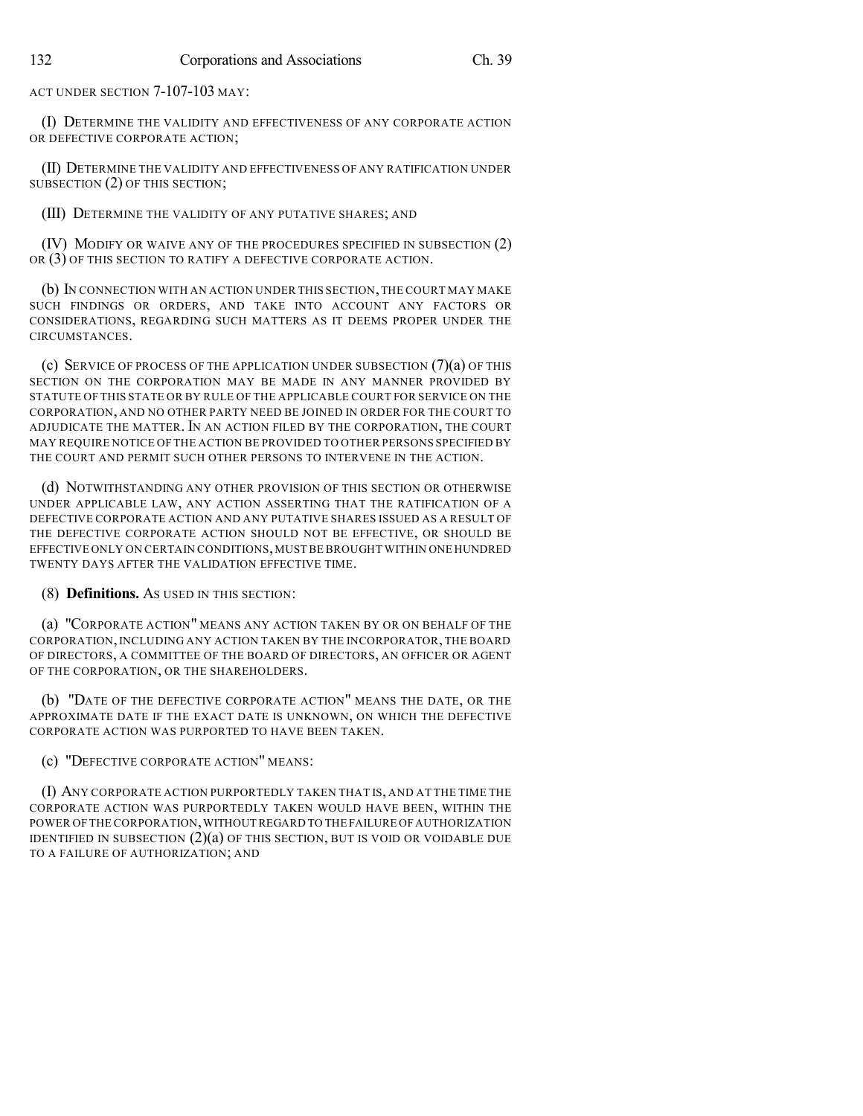ACT UNDER SECTION 7-107-103 MAY:

(I) DETERMINE THE VALIDITY AND EFFECTIVENESS OF ANY CORPORATE ACTION OR DEFECTIVE CORPORATE ACTION;

(II) DETERMINE THE VALIDITY AND EFFECTIVENESS OF ANY RATIFICATION UNDER SUBSECTION (2) OF THIS SECTION;

(III) DETERMINE THE VALIDITY OF ANY PUTATIVE SHARES; AND

(IV) MODIFY OR WAIVE ANY OF THE PROCEDURES SPECIFIED IN SUBSECTION (2) OR (3) OF THIS SECTION TO RATIFY A DEFECTIVE CORPORATE ACTION.

(b) IN CONNECTION WITH AN ACTION UNDER THIS SECTION,THE COURT MAY MAKE SUCH FINDINGS OR ORDERS, AND TAKE INTO ACCOUNT ANY FACTORS OR CONSIDERATIONS, REGARDING SUCH MATTERS AS IT DEEMS PROPER UNDER THE CIRCUMSTANCES.

(c) SERVICE OF PROCESS OF THE APPLICATION UNDER SUBSECTION (7)(a) OF THIS SECTION ON THE CORPORATION MAY BE MADE IN ANY MANNER PROVIDED BY STATUTE OF THIS STATE OR BY RULE OF THE APPLICABLE COURT FOR SERVICE ON THE CORPORATION, AND NO OTHER PARTY NEED BE JOINED IN ORDER FOR THE COURT TO ADJUDICATE THE MATTER. IN AN ACTION FILED BY THE CORPORATION, THE COURT MAY REQUIRE NOTICE OF THE ACTION BE PROVIDED TO OTHER PERSONS SPECIFIED BY THE COURT AND PERMIT SUCH OTHER PERSONS TO INTERVENE IN THE ACTION.

(d) NOTWITHSTANDING ANY OTHER PROVISION OF THIS SECTION OR OTHERWISE UNDER APPLICABLE LAW, ANY ACTION ASSERTING THAT THE RATIFICATION OF A DEFECTIVE CORPORATE ACTION AND ANY PUTATIVE SHARES ISSUED AS A RESULT OF THE DEFECTIVE CORPORATE ACTION SHOULD NOT BE EFFECTIVE, OR SHOULD BE EFFECTIVE ONLY ON CERTAIN CONDITIONS,MUST BE BROUGHT WITHIN ONE HUNDRED TWENTY DAYS AFTER THE VALIDATION EFFECTIVE TIME.

(8) **Definitions.** AS USED IN THIS SECTION:

(a) "CORPORATE ACTION" MEANS ANY ACTION TAKEN BY OR ON BEHALF OF THE CORPORATION,INCLUDING ANY ACTION TAKEN BY THE INCORPORATOR, THE BOARD OF DIRECTORS, A COMMITTEE OF THE BOARD OF DIRECTORS, AN OFFICER OR AGENT OF THE CORPORATION, OR THE SHAREHOLDERS.

(b) "DATE OF THE DEFECTIVE CORPORATE ACTION" MEANS THE DATE, OR THE APPROXIMATE DATE IF THE EXACT DATE IS UNKNOWN, ON WHICH THE DEFECTIVE CORPORATE ACTION WAS PURPORTED TO HAVE BEEN TAKEN.

(c) "DEFECTIVE CORPORATE ACTION" MEANS:

(I) ANY CORPORATE ACTION PURPORTEDLY TAKEN THAT IS, AND AT THE TIME THE CORPORATE ACTION WAS PURPORTEDLY TAKEN WOULD HAVE BEEN, WITHIN THE POWER OF THE CORPORATION,WITHOUT REGARD TO THE FAILURE OFAUTHORIZATION IDENTIFIED IN SUBSECTION  $(2)(a)$  OF THIS SECTION, BUT IS VOID OR VOIDABLE DUE TO A FAILURE OF AUTHORIZATION; AND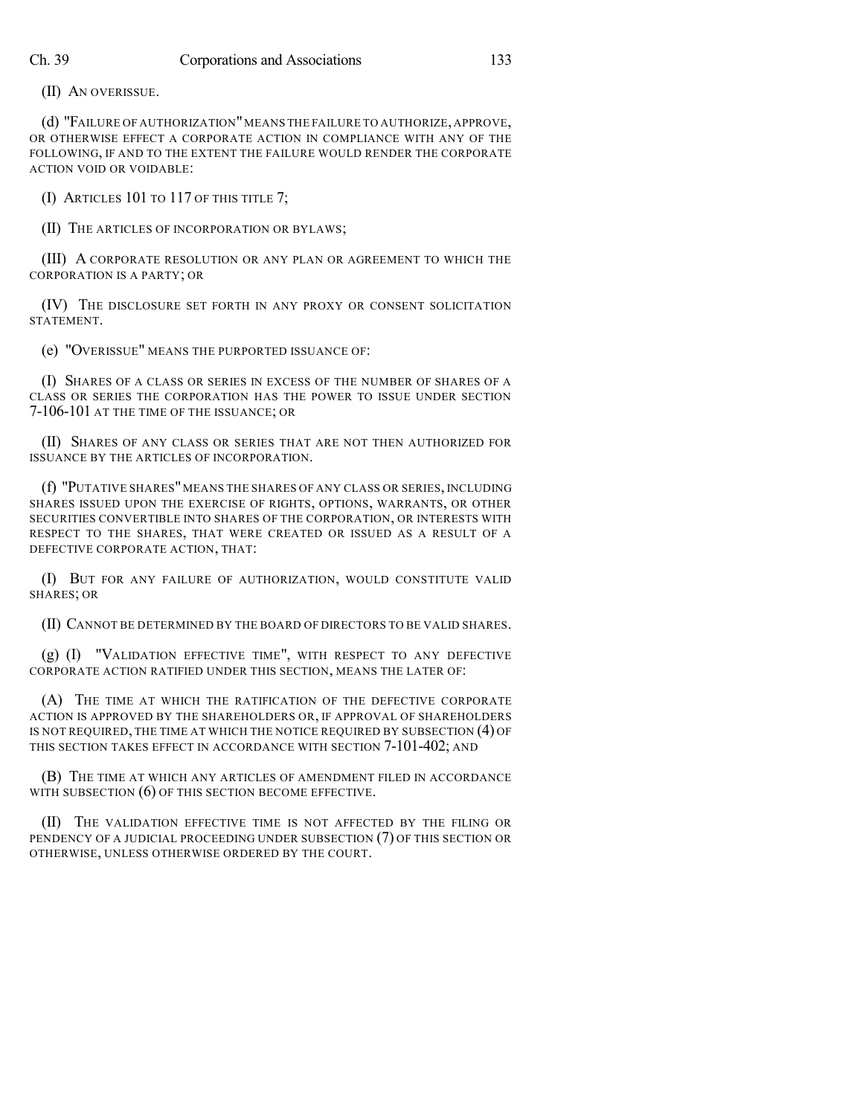(II) AN OVERISSUE.

(d) "FAILURE OF AUTHORIZATION"MEANS THE FAILURE TO AUTHORIZE, APPROVE, OR OTHERWISE EFFECT A CORPORATE ACTION IN COMPLIANCE WITH ANY OF THE FOLLOWING, IF AND TO THE EXTENT THE FAILURE WOULD RENDER THE CORPORATE ACTION VOID OR VOIDABLE:

(I) ARTICLES 101 TO 117 OF THIS TITLE 7;

(II) THE ARTICLES OF INCORPORATION OR BYLAWS;

(III) A CORPORATE RESOLUTION OR ANY PLAN OR AGREEMENT TO WHICH THE CORPORATION IS A PARTY; OR

(IV) THE DISCLOSURE SET FORTH IN ANY PROXY OR CONSENT SOLICITATION STATEMENT.

(e) "OVERISSUE" MEANS THE PURPORTED ISSUANCE OF:

(I) SHARES OF A CLASS OR SERIES IN EXCESS OF THE NUMBER OF SHARES OF A CLASS OR SERIES THE CORPORATION HAS THE POWER TO ISSUE UNDER SECTION 7-106-101 AT THE TIME OF THE ISSUANCE; OR

(II) SHARES OF ANY CLASS OR SERIES THAT ARE NOT THEN AUTHORIZED FOR ISSUANCE BY THE ARTICLES OF INCORPORATION.

(f) "PUTATIVE SHARES"MEANS THE SHARES OF ANY CLASS OR SERIES, INCLUDING SHARES ISSUED UPON THE EXERCISE OF RIGHTS, OPTIONS, WARRANTS, OR OTHER SECURITIES CONVERTIBLE INTO SHARES OF THE CORPORATION, OR INTERESTS WITH RESPECT TO THE SHARES, THAT WERE CREATED OR ISSUED AS A RESULT OF A DEFECTIVE CORPORATE ACTION, THAT:

(I) BUT FOR ANY FAILURE OF AUTHORIZATION, WOULD CONSTITUTE VALID SHARES; OR

(II) CANNOT BE DETERMINED BY THE BOARD OF DIRECTORS TO BE VALID SHARES.

(g) (I) "VALIDATION EFFECTIVE TIME", WITH RESPECT TO ANY DEFECTIVE CORPORATE ACTION RATIFIED UNDER THIS SECTION, MEANS THE LATER OF:

(A) THE TIME AT WHICH THE RATIFICATION OF THE DEFECTIVE CORPORATE ACTION IS APPROVED BY THE SHAREHOLDERS OR, IF APPROVAL OF SHAREHOLDERS IS NOT REQUIRED, THE TIME AT WHICH THE NOTICE REQUIRED BY SUBSECTION (4) OF THIS SECTION TAKES EFFECT IN ACCORDANCE WITH SECTION 7-101-402; AND

(B) THE TIME AT WHICH ANY ARTICLES OF AMENDMENT FILED IN ACCORDANCE WITH SUBSECTION  $(6)$  OF THIS SECTION BECOME EFFECTIVE.

(II) THE VALIDATION EFFECTIVE TIME IS NOT AFFECTED BY THE FILING OR PENDENCY OF A JUDICIAL PROCEEDING UNDER SUBSECTION (7) OF THIS SECTION OR OTHERWISE, UNLESS OTHERWISE ORDERED BY THE COURT.